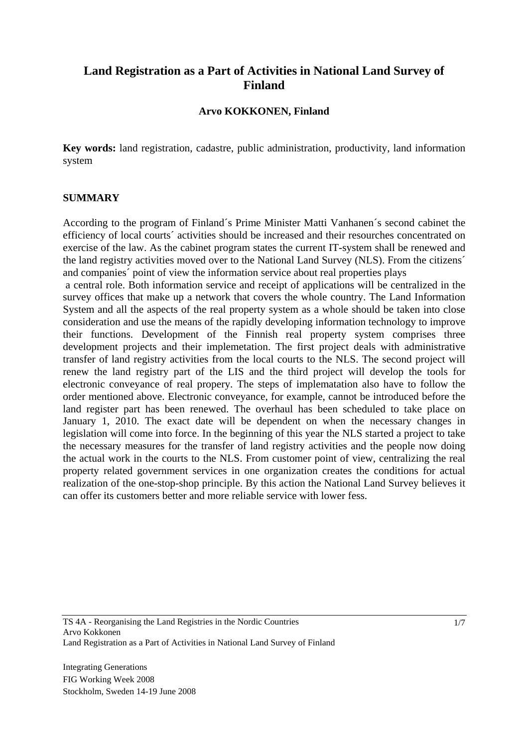# **Land Registration as a Part of Activities in National Land Survey of Finland**

### **Arvo KOKKONEN, Finland**

**Key words:** land registration, cadastre, public administration, productivity, land information system

#### **SUMMARY**

According to the program of Finland´s Prime Minister Matti Vanhanen´s second cabinet the efficiency of local courts´ activities should be increased and their resourches concentrated on exercise of the law. As the cabinet program states the current IT-system shall be renewed and the land registry activities moved over to the National Land Survey (NLS). From the citizens´ and companies´ point of view the information service about real properties plays

 a central role. Both information service and receipt of applications will be centralized in the survey offices that make up a network that covers the whole country. The Land Information System and all the aspects of the real property system as a whole should be taken into close consideration and use the means of the rapidly developing information technology to improve their functions. Development of the Finnish real property system comprises three development projects and their implemetation. The first project deals with administrative transfer of land registry activities from the local courts to the NLS. The second project will renew the land registry part of the LIS and the third project will develop the tools for electronic conveyance of real propery. The steps of implematation also have to follow the order mentioned above. Electronic conveyance, for example, cannot be introduced before the land register part has been renewed. The overhaul has been scheduled to take place on January 1, 2010. The exact date will be dependent on when the necessary changes in legislation will come into force. In the beginning of this year the NLS started a project to take the necessary measures for the transfer of land registry activities and the people now doing the actual work in the courts to the NLS. From customer point of view, centralizing the real property related government services in one organization creates the conditions for actual realization of the one-stop-shop principle. By this action the National Land Survey believes it can offer its customers better and more reliable service with lower fess.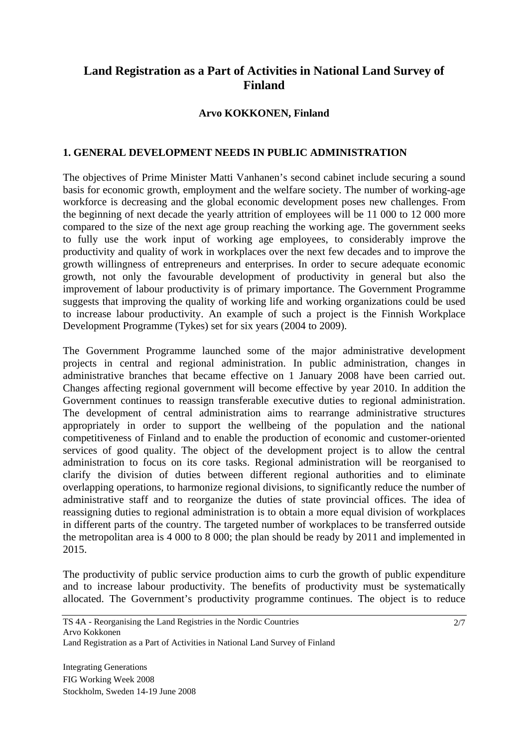# **Land Registration as a Part of Activities in National Land Survey of Finland**

## **Arvo KOKKONEN, Finland**

### **1. GENERAL DEVELOPMENT NEEDS IN PUBLIC ADMINISTRATION**

The objectives of Prime Minister Matti Vanhanen's second cabinet include securing a sound basis for economic growth, employment and the welfare society. The number of working-age workforce is decreasing and the global economic development poses new challenges. From the beginning of next decade the yearly attrition of employees will be 11 000 to 12 000 more compared to the size of the next age group reaching the working age. The government seeks to fully use the work input of working age employees, to considerably improve the productivity and quality of work in workplaces over the next few decades and to improve the growth willingness of entrepreneurs and enterprises. In order to secure adequate economic growth, not only the favourable development of productivity in general but also the improvement of labour productivity is of primary importance. The Government Programme suggests that improving the quality of working life and working organizations could be used to increase labour productivity. An example of such a project is the Finnish Workplace Development Programme (Tykes) set for six years (2004 to 2009).

The Government Programme launched some of the major administrative development projects in central and regional administration. In public administration, changes in administrative branches that became effective on 1 January 2008 have been carried out. Changes affecting regional government will become effective by year 2010. In addition the Government continues to reassign transferable executive duties to regional administration. The development of central administration aims to rearrange administrative structures appropriately in order to support the wellbeing of the population and the national competitiveness of Finland and to enable the production of economic and customer-oriented services of good quality. The object of the development project is to allow the central administration to focus on its core tasks. Regional administration will be reorganised to clarify the division of duties between different regional authorities and to eliminate overlapping operations, to harmonize regional divisions, to significantly reduce the number of administrative staff and to reorganize the duties of state provincial offices. The idea of reassigning duties to regional administration is to obtain a more equal division of workplaces in different parts of the country. The targeted number of workplaces to be transferred outside the metropolitan area is 4 000 to 8 000; the plan should be ready by 2011 and implemented in 2015.

The productivity of public service production aims to curb the growth of public expenditure and to increase labour productivity. The benefits of productivity must be systematically allocated. The Government's productivity programme continues. The object is to reduce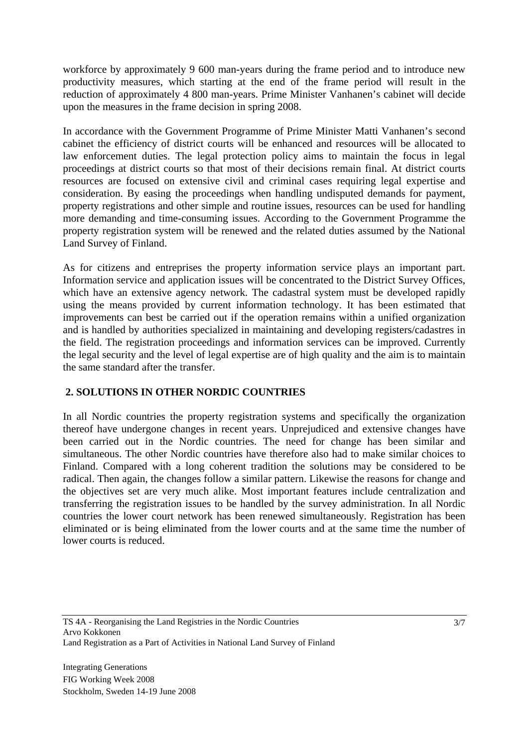workforce by approximately 9 600 man-years during the frame period and to introduce new productivity measures, which starting at the end of the frame period will result in the reduction of approximately 4 800 man-years. Prime Minister Vanhanen's cabinet will decide upon the measures in the frame decision in spring 2008.

In accordance with the Government Programme of Prime Minister Matti Vanhanen's second cabinet the efficiency of district courts will be enhanced and resources will be allocated to law enforcement duties. The legal protection policy aims to maintain the focus in legal proceedings at district courts so that most of their decisions remain final. At district courts resources are focused on extensive civil and criminal cases requiring legal expertise and consideration. By easing the proceedings when handling undisputed demands for payment, property registrations and other simple and routine issues, resources can be used for handling more demanding and time-consuming issues. According to the Government Programme the property registration system will be renewed and the related duties assumed by the National Land Survey of Finland.

As for citizens and entreprises the property information service plays an important part. Information service and application issues will be concentrated to the District Survey Offices, which have an extensive agency network. The cadastral system must be developed rapidly using the means provided by current information technology. It has been estimated that improvements can best be carried out if the operation remains within a unified organization and is handled by authorities specialized in maintaining and developing registers/cadastres in the field. The registration proceedings and information services can be improved. Currently the legal security and the level of legal expertise are of high quality and the aim is to maintain the same standard after the transfer.

# **2. SOLUTIONS IN OTHER NORDIC COUNTRIES**

In all Nordic countries the property registration systems and specifically the organization thereof have undergone changes in recent years. Unprejudiced and extensive changes have been carried out in the Nordic countries. The need for change has been similar and simultaneous. The other Nordic countries have therefore also had to make similar choices to Finland. Compared with a long coherent tradition the solutions may be considered to be radical. Then again, the changes follow a similar pattern. Likewise the reasons for change and the objectives set are very much alike. Most important features include centralization and transferring the registration issues to be handled by the survey administration. In all Nordic countries the lower court network has been renewed simultaneously. Registration has been eliminated or is being eliminated from the lower courts and at the same time the number of lower courts is reduced.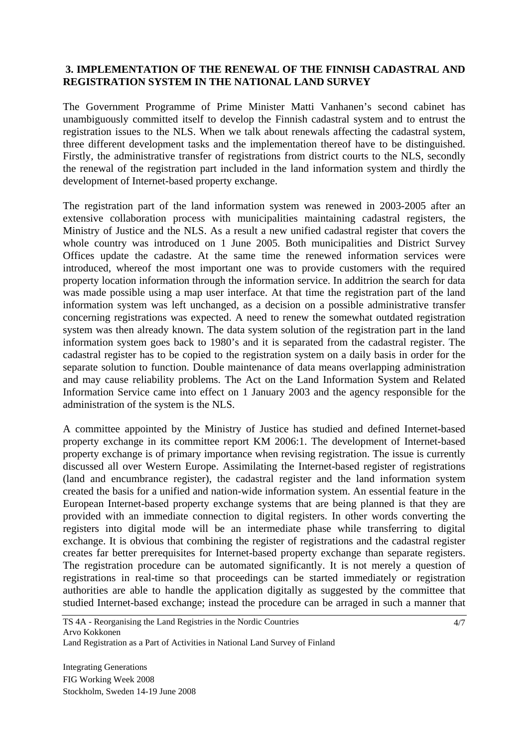## **3. IMPLEMENTATION OF THE RENEWAL OF THE FINNISH CADASTRAL AND REGISTRATION SYSTEM IN THE NATIONAL LAND SURVEY**

The Government Programme of Prime Minister Matti Vanhanen's second cabinet has unambiguously committed itself to develop the Finnish cadastral system and to entrust the registration issues to the NLS. When we talk about renewals affecting the cadastral system, three different development tasks and the implementation thereof have to be distinguished. Firstly, the administrative transfer of registrations from district courts to the NLS, secondly the renewal of the registration part included in the land information system and thirdly the development of Internet-based property exchange.

The registration part of the land information system was renewed in 2003-2005 after an extensive collaboration process with municipalities maintaining cadastral registers, the Ministry of Justice and the NLS. As a result a new unified cadastral register that covers the whole country was introduced on 1 June 2005. Both municipalities and District Survey Offices update the cadastre. At the same time the renewed information services were introduced, whereof the most important one was to provide customers with the required property location information through the information service. In additrion the search for data was made possible using a map user interface. At that time the registration part of the land information system was left unchanged, as a decision on a possible administrative transfer concerning registrations was expected. A need to renew the somewhat outdated registration system was then already known. The data system solution of the registration part in the land information system goes back to 1980's and it is separated from the cadastral register. The cadastral register has to be copied to the registration system on a daily basis in order for the separate solution to function. Double maintenance of data means overlapping administration and may cause reliability problems. The Act on the Land Information System and Related Information Service came into effect on 1 January 2003 and the agency responsible for the administration of the system is the NLS.

A committee appointed by the Ministry of Justice has studied and defined Internet-based property exchange in its committee report KM 2006:1. The development of Internet-based property exchange is of primary importance when revising registration. The issue is currently discussed all over Western Europe. Assimilating the Internet-based register of registrations (land and encumbrance register), the cadastral register and the land information system created the basis for a unified and nation-wide information system. An essential feature in the European Internet-based property exchange systems that are being planned is that they are provided with an immediate connection to digital registers. In other words converting the registers into digital mode will be an intermediate phase while transferring to digital exchange. It is obvious that combining the register of registrations and the cadastral register creates far better prerequisites for Internet-based property exchange than separate registers. The registration procedure can be automated significantly. It is not merely a question of registrations in real-time so that proceedings can be started immediately or registration authorities are able to handle the application digitally as suggested by the committee that studied Internet-based exchange; instead the procedure can be arraged in such a manner that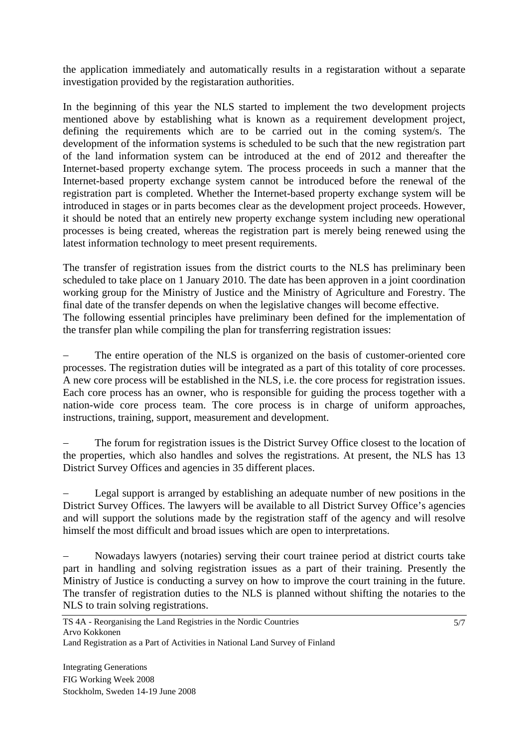the application immediately and automatically results in a registaration without a separate investigation provided by the registaration authorities.

In the beginning of this year the NLS started to implement the two development projects mentioned above by establishing what is known as a requirement development project, defining the requirements which are to be carried out in the coming system/s. The development of the information systems is scheduled to be such that the new registration part of the land information system can be introduced at the end of 2012 and thereafter the Internet-based property exchange sytem. The process proceeds in such a manner that the Internet-based property exchange system cannot be introduced before the renewal of the registration part is completed. Whether the Internet-based property exchange system will be introduced in stages or in parts becomes clear as the development project proceeds. However, it should be noted that an entirely new property exchange system including new operational processes is being created, whereas the registration part is merely being renewed using the latest information technology to meet present requirements.

The transfer of registration issues from the district courts to the NLS has preliminary been scheduled to take place on 1 January 2010. The date has been approven in a joint coordination working group for the Ministry of Justice and the Ministry of Agriculture and Forestry. The final date of the transfer depends on when the legislative changes will become effective. The following essential principles have preliminary been defined for the implementation of the transfer plan while compiling the plan for transferring registration issues:

The entire operation of the NLS is organized on the basis of customer-oriented core processes. The registration duties will be integrated as a part of this totality of core processes. A new core process will be established in the NLS, i.e. the core process for registration issues. Each core process has an owner, who is responsible for guiding the process together with a nation-wide core process team. The core process is in charge of uniform approaches, instructions, training, support, measurement and development.

The forum for registration issues is the District Survey Office closest to the location of the properties, which also handles and solves the registrations. At present, the NLS has 13 District Survey Offices and agencies in 35 different places.

Legal support is arranged by establishing an adequate number of new positions in the District Survey Offices. The lawyers will be available to all District Survey Office's agencies and will support the solutions made by the registration staff of the agency and will resolve himself the most difficult and broad issues which are open to interpretations.

Nowadays lawyers (notaries) serving their court trainee period at district courts take part in handling and solving registration issues as a part of their training. Presently the Ministry of Justice is conducting a survey on how to improve the court training in the future. The transfer of registration duties to the NLS is planned without shifting the notaries to the NLS to train solving registrations.

Land Registration as a Part of Activities in National Land Survey of Finland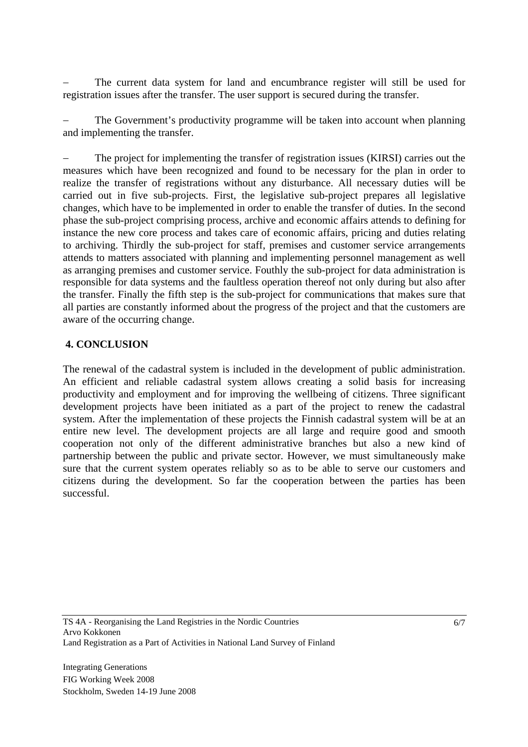The current data system for land and encumbrance register will still be used for registration issues after the transfer. The user support is secured during the transfer.

The Government's productivity programme will be taken into account when planning and implementing the transfer.

The project for implementing the transfer of registration issues (KIRSI) carries out the measures which have been recognized and found to be necessary for the plan in order to realize the transfer of registrations without any disturbance. All necessary duties will be carried out in five sub-projects. First, the legislative sub-project prepares all legislative changes, which have to be implemented in order to enable the transfer of duties. In the second phase the sub-project comprising process, archive and economic affairs attends to defining for instance the new core process and takes care of economic affairs, pricing and duties relating to archiving. Thirdly the sub-project for staff, premises and customer service arrangements attends to matters associated with planning and implementing personnel management as well as arranging premises and customer service. Fouthly the sub-project for data administration is responsible for data systems and the faultless operation thereof not only during but also after the transfer. Finally the fifth step is the sub-project for communications that makes sure that all parties are constantly informed about the progress of the project and that the customers are aware of the occurring change.

## **4. CONCLUSION**

The renewal of the cadastral system is included in the development of public administration. An efficient and reliable cadastral system allows creating a solid basis for increasing productivity and employment and for improving the wellbeing of citizens. Three significant development projects have been initiated as a part of the project to renew the cadastral system. After the implementation of these projects the Finnish cadastral system will be at an entire new level. The development projects are all large and require good and smooth cooperation not only of the different administrative branches but also a new kind of partnership between the public and private sector. However, we must simultaneously make sure that the current system operates reliably so as to be able to serve our customers and citizens during the development. So far the cooperation between the parties has been successful.